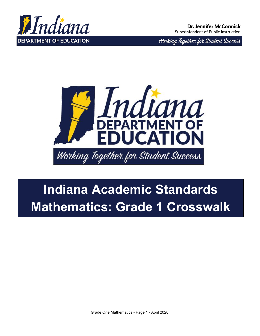

Working Together for Student Success



## **Indiana Academic Standards Mathematics: Grade 1 Crosswalk**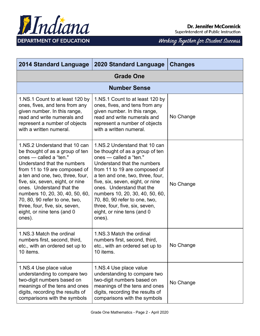

| <b>2014 Standard Language</b>                                                                                                                                                                                                                                                                                                                                                                                 | <b>2020 Standard Language</b>                                                                                                                                                                                                                                                                                                                                                                                 | <b>Changes</b> |  |
|---------------------------------------------------------------------------------------------------------------------------------------------------------------------------------------------------------------------------------------------------------------------------------------------------------------------------------------------------------------------------------------------------------------|---------------------------------------------------------------------------------------------------------------------------------------------------------------------------------------------------------------------------------------------------------------------------------------------------------------------------------------------------------------------------------------------------------------|----------------|--|
| <b>Grade One</b>                                                                                                                                                                                                                                                                                                                                                                                              |                                                                                                                                                                                                                                                                                                                                                                                                               |                |  |
|                                                                                                                                                                                                                                                                                                                                                                                                               | <b>Number Sense</b>                                                                                                                                                                                                                                                                                                                                                                                           |                |  |
| 1.NS.1 Count to at least 120 by<br>ones, fives, and tens from any<br>given number. In this range,<br>read and write numerals and<br>represent a number of objects<br>with a written numeral.                                                                                                                                                                                                                  | 1.NS.1 Count to at least 120 by<br>ones, fives, and tens from any<br>given number. In this range,<br>read and write numerals and<br>represent a number of objects<br>with a written numeral.                                                                                                                                                                                                                  | No Change      |  |
| 1.NS.2 Understand that 10 can<br>be thought of as a group of ten<br>ones - called a "ten."<br>Understand that the numbers<br>from 11 to 19 are composed of<br>a ten and one, two, three, four,<br>five, six, seven, eight, or nine<br>ones. Understand that the<br>numbers 10, 20, 30, 40, 50, 60,<br>70, 80, 90 refer to one, two,<br>three, four, five, six, seven,<br>eight, or nine tens (and 0<br>ones). | 1.NS.2 Understand that 10 can<br>be thought of as a group of ten<br>ones - called a "ten."<br>Understand that the numbers<br>from 11 to 19 are composed of<br>a ten and one, two, three, four,<br>five, six, seven, eight, or nine<br>ones. Understand that the<br>numbers 10, 20, 30, 40, 50, 60,<br>70, 80, 90 refer to one, two,<br>three, four, five, six, seven,<br>eight, or nine tens (and 0<br>ones). | No Change      |  |
| 1. NS.3 Match the ordinal<br>numbers first, second, third,<br>etc., with an ordered set up to<br>10 items.                                                                                                                                                                                                                                                                                                    | 1.NS.3 Match the ordinal<br>numbers first, second, third,<br>etc., with an ordered set up to<br>10 items.                                                                                                                                                                                                                                                                                                     | No Change      |  |
| 1.NS.4 Use place value<br>understanding to compare two<br>two-digit numbers based on<br>meanings of the tens and ones<br>digits, recording the results of<br>comparisons with the symbols                                                                                                                                                                                                                     | 1.NS.4 Use place value<br>understanding to compare two<br>two-digit numbers based on<br>meanings of the tens and ones<br>digits, recording the results of<br>comparisons with the symbols                                                                                                                                                                                                                     | No Change      |  |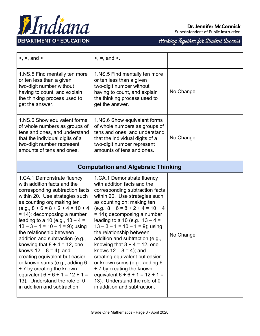

## **Dr. Jennifer McCormick**

Superintendent of Public Instruction

| $>$ , =, and <.                                                                                                                                                                                                                                                                                                                                                                                                                                                                                                                                                                                                                                     | $>$ , =, and $\le$ .                                                                                                                                                                                                                                                                                                                                                                                                                                                                                                                                                                                                                              |           |  |
|-----------------------------------------------------------------------------------------------------------------------------------------------------------------------------------------------------------------------------------------------------------------------------------------------------------------------------------------------------------------------------------------------------------------------------------------------------------------------------------------------------------------------------------------------------------------------------------------------------------------------------------------------------|---------------------------------------------------------------------------------------------------------------------------------------------------------------------------------------------------------------------------------------------------------------------------------------------------------------------------------------------------------------------------------------------------------------------------------------------------------------------------------------------------------------------------------------------------------------------------------------------------------------------------------------------------|-----------|--|
| 1.NS.5 Find mentally ten more<br>or ten less than a given<br>two-digit number without<br>having to count, and explain<br>the thinking process used to<br>get the answer.                                                                                                                                                                                                                                                                                                                                                                                                                                                                            | 1.NS.5 Find mentally ten more<br>or ten less than a given<br>two-digit number without<br>having to count, and explain<br>the thinking process used to<br>get the answer.                                                                                                                                                                                                                                                                                                                                                                                                                                                                          | No Change |  |
| 1.NS.6 Show equivalent forms<br>of whole numbers as groups of<br>tens and ones, and understand<br>that the individual digits of a<br>two-digit number represent<br>amounts of tens and ones.                                                                                                                                                                                                                                                                                                                                                                                                                                                        | 1.NS.6 Show equivalent forms<br>of whole numbers as groups of<br>tens and ones, and understand<br>that the individual digits of a<br>two-digit number represent<br>amounts of tens and ones.                                                                                                                                                                                                                                                                                                                                                                                                                                                      | No Change |  |
| <b>Computation and Algebraic Thinking</b>                                                                                                                                                                                                                                                                                                                                                                                                                                                                                                                                                                                                           |                                                                                                                                                                                                                                                                                                                                                                                                                                                                                                                                                                                                                                                   |           |  |
| 1.CA.1 Demonstrate fluency<br>with addition facts and the<br>corresponding subtraction facts<br>within 20. Use strategies such<br>as counting on; making ten<br>$(e.g., 8 + 6 = 8 + 2 + 4 = 10 + 4)$<br>$= 14$ ; decomposing a number<br>leading to a 10 (e.g., $13 - 4 =$<br>$13 - 3 - 1 = 10 - 1 = 9$ ; using<br>the relationship between<br>addition and subtraction (e.g.,<br>knowing that $8 + 4 = 12$ , one<br>knows $12 - 8 = 4$ ; and<br>creating equivalent but easier<br>or known sums (e.g., adding 6<br>+ 7 by creating the known<br>equivalent $6 + 6 + 1 = 12 + 1 =$<br>13). Understand the role of 0<br>in addition and subtraction. | 1.CA.1 Demonstrate fluency<br>with addition facts and the<br>corresponding subtraction facts<br>within 20. Use strategies such<br>as counting on; making ten<br>$(e.g., 8 + 6 = 8 + 2 + 4 = 10 + 4)$<br>= 14); decomposing a number<br>leading to a 10 (e.g., $13 - 4 =$<br>$13 - 3 - 1 = 10 - 1 = 9$ ; using<br>the relationship between<br>addition and subtraction (e.g.,<br>knowing that $8 + 4 = 12$ , one<br>knows $12 - 8 = 4$ ; and<br>creating equivalent but easier<br>or known sums (e.g., adding 6<br>+ 7 by creating the known<br>equivalent $6 + 6 + 1 = 12 + 1 =$<br>13). Understand the role of 0<br>in addition and subtraction. | No Change |  |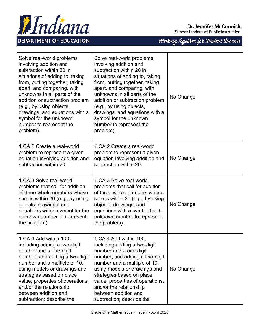

Hndiana **DEPARTMENT OF EDUCATION** 

|  |  |  | Working Together for Student Success |
|--|--|--|--------------------------------------|
|  |  |  |                                      |

| Solve real-world problems<br>involving addition and<br>subtraction within 20 in<br>situations of adding to, taking<br>from, putting together, taking<br>apart, and comparing, with<br>unknowns in all parts of the<br>addition or subtraction problem<br>(e.g., by using objects,<br>drawings, and equations with a<br>symbol for the unknown<br>number to represent the<br>problem). | Solve real-world problems<br>involving addition and<br>subtraction within 20 in<br>situations of adding to, taking<br>from, putting together, taking<br>apart, and comparing, with<br>unknowns in all parts of the<br>addition or subtraction problem<br>(e.g., by using objects,<br>drawings, and equations with a<br>symbol for the unknown<br>number to represent the<br>problem). | No Change |
|---------------------------------------------------------------------------------------------------------------------------------------------------------------------------------------------------------------------------------------------------------------------------------------------------------------------------------------------------------------------------------------|---------------------------------------------------------------------------------------------------------------------------------------------------------------------------------------------------------------------------------------------------------------------------------------------------------------------------------------------------------------------------------------|-----------|
| 1.CA.2 Create a real-world<br>problem to represent a given<br>equation involving addition and<br>subtraction within 20.                                                                                                                                                                                                                                                               | 1.CA.2 Create a real-world<br>problem to represent a given<br>equation involving addition and<br>subtraction within 20.                                                                                                                                                                                                                                                               | No Change |
| 1.CA.3 Solve real-world<br>problems that call for addition<br>of three whole numbers whose<br>sum is within 20 (e.g., by using<br>objects, drawings, and<br>equations with a symbol for the<br>unknown number to represent<br>the problem).                                                                                                                                           | 1.CA.3 Solve real-world<br>problems that call for addition<br>of three whole numbers whose<br>sum is within 20 (e.g., by using<br>objects, drawings, and<br>equations with a symbol for the<br>unknown number to represent<br>the problem).                                                                                                                                           | No Change |
| 1.CA.4 Add within 100,<br>including adding a two-digit<br>number and a one-digit<br>number, and adding a two-digit<br>number and a multiple of 10,<br>using models or drawings and<br>strategies based on place<br>value, properties of operations,<br>and/or the relationship<br>between addition and<br>subtraction; describe the                                                   | 1.CA.4 Add within 100,<br>including adding a two-digit<br>number and a one-digit<br>number, and adding a two-digit<br>number and a multiple of 10,<br>using models or drawings and<br>strategies based on place<br>value, properties of operations,<br>and/or the relationship<br>between addition and<br>subtraction; describe the                                                   | No Change |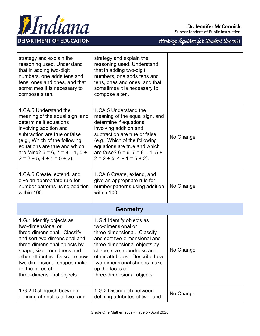

| strategy and explain the<br>reasoning used. Understand<br>that in adding two-digit<br>numbers, one adds tens and<br>tens, ones and ones, and that<br>sometimes it is necessary to<br>compose a ten.                                                                                            | strategy and explain the<br>reasoning used. Understand<br>that in adding two-digit<br>numbers, one adds tens and<br>tens, ones and ones, and that<br>sometimes it is necessary to<br>compose a ten.                                                                                            |           |  |  |
|------------------------------------------------------------------------------------------------------------------------------------------------------------------------------------------------------------------------------------------------------------------------------------------------|------------------------------------------------------------------------------------------------------------------------------------------------------------------------------------------------------------------------------------------------------------------------------------------------|-----------|--|--|
| 1.CA.5 Understand the<br>meaning of the equal sign, and<br>determine if equations<br>involving addition and<br>subtraction are true or false<br>(e.g., Which of the following<br>equations are true and which<br>are false? $6 = 6$ , $7 = 8 - 1$ , $5 +$<br>$2 = 2 + 5$ , $4 + 1 = 5 + 2$ ).  | 1.CA.5 Understand the<br>meaning of the equal sign, and<br>determine if equations<br>involving addition and<br>subtraction are true or false<br>(e.g., Which of the following<br>equations are true and which<br>are false? $6 = 6$ , $7 = 8 - 1$ , $5 +$<br>$2 = 2 + 5$ , $4 + 1 = 5 + 2$ ).  | No Change |  |  |
| 1.CA.6 Create, extend, and<br>give an appropriate rule for<br>number patterns using addition<br>within 100.                                                                                                                                                                                    | 1.CA.6 Create, extend, and<br>give an appropriate rule for<br>number patterns using addition<br>within 100.                                                                                                                                                                                    | No Change |  |  |
| <b>Geometry</b>                                                                                                                                                                                                                                                                                |                                                                                                                                                                                                                                                                                                |           |  |  |
| 1.G.1 Identify objects as<br>two-dimensional or<br>three-dimensional. Classify<br>and sort two-dimensional and<br>three-dimensional objects by<br>shape, size, roundness and<br>other attributes. Describe how<br>two-dimensional shapes make<br>up the faces of<br>three-dimensional objects. | 1.G.1 Identify objects as<br>two-dimensional or<br>three-dimensional. Classify<br>and sort two-dimensional and<br>three-dimensional objects by<br>shape, size, roundness and<br>other attributes. Describe how<br>two-dimensional shapes make<br>up the faces of<br>three-dimensional objects. | No Change |  |  |
| 1.G.2 Distinguish between<br>defining attributes of two- and                                                                                                                                                                                                                                   | 1.G.2 Distinguish between<br>defining attributes of two- and                                                                                                                                                                                                                                   | No Change |  |  |



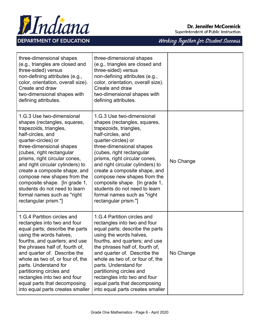

|                                                                                                                                                                                                                                                                                                                                                                                                                                                         |                                                                                                                                                                                                                                                                                                                                                                                                                                                        | 'J<br>$\overline{\mathscr{A}}$ |
|---------------------------------------------------------------------------------------------------------------------------------------------------------------------------------------------------------------------------------------------------------------------------------------------------------------------------------------------------------------------------------------------------------------------------------------------------------|--------------------------------------------------------------------------------------------------------------------------------------------------------------------------------------------------------------------------------------------------------------------------------------------------------------------------------------------------------------------------------------------------------------------------------------------------------|--------------------------------|
| three-dimensional shapes<br>(e.g., triangles are closed and<br>three-sided) versus<br>non-defining attributes (e.g.,<br>color, orientation, overall size).<br>Create and draw<br>two-dimensional shapes with<br>defining attributes.                                                                                                                                                                                                                    | three-dimensional shapes<br>(e.g., triangles are closed and<br>three-sided) versus<br>non-defining attributes (e.g.,<br>color, orientation, overall size).<br>Create and draw<br>two-dimensional shapes with<br>defining attributes.                                                                                                                                                                                                                   |                                |
| 1.G.3 Use two-dimensional<br>shapes (rectangles, squares,<br>trapezoids, triangles,<br>half-circles, and<br>quarter-circles) or<br>three-dimensional shapes<br>(cubes, right rectangular<br>prisms, right circular cones,<br>and right circular cylinders) to<br>create a composite shape, and<br>compose new shapes from the<br>composite shape. [In grade 1,<br>students do not need to learn<br>formal names such as "right"<br>rectangular prism."] | 1.G.3 Use two-dimensional<br>shapes (rectangles, squares,<br>trapezoids, triangles,<br>half-circles, and<br>quarter-circles) or<br>three-dimensional shapes<br>(cubes, right rectangular<br>prisms, right circular cones,<br>and right circular cylinders) to<br>create a composite shape, and<br>compose new shapes from the<br>composite shape. [In grade 1,<br>students do not need to learn<br>formal names such as "right<br>rectangular prism."] | No Change                      |
| 1.G.4 Partition circles and<br>rectangles into two and four<br>equal parts; describe the parts<br>using the words halves,<br>fourths, and quarters; and use<br>the phrases half of, fourth of,<br>and quarter of. Describe the<br>whole as two of, or four of, the<br>parts. Understand for<br>partitioning circles and<br>rectangles into two and four<br>equal parts that decomposing<br>into equal parts creates smaller                             | 1.G.4 Partition circles and<br>rectangles into two and four<br>equal parts; describe the parts<br>using the words halves,<br>fourths, and quarters; and use<br>the phrases half of, fourth of,<br>and quarter of. Describe the<br>whole as two of, or four of, the<br>parts. Understand for<br>partitioning circles and<br>rectangles into two and four<br>equal parts that decomposing<br>into equal parts creates smaller                            | No Change                      |